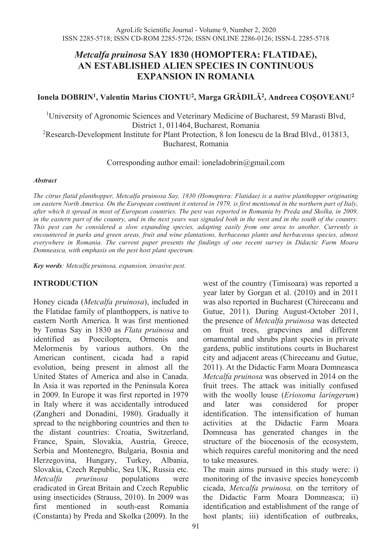# *Metcalfa pruinosa* **SAY 1830 (HOMOPTERA: FLATIDAE), AN ESTABLISHED ALIEN SPECIES IN CONTINUOUS EXPANSION IN ROMANIA**

# **Ionela DOBRIN1, Valentin Marius CIONTU2, Marga GRĂDILĂ<sup>2</sup>, Andreea COŞOVEANU2**

<sup>1</sup>University of Agronomic Sciences and Veterinary Medicine of Bucharest, 59 Marasti Blvd, District 1, 011464, Bucharest, Romania

 $2$ Research-Development Institute for Plant Protection, 8 Ion Ionescu de la Brad Blvd., 013813, Bucharest, Romania

Corresponding author email: ioneladobrin@gmail.com

### *Abstract*

*The citrus flatid planthopper, Metcalfa pruinosa Say, 1830 (Homoptera: Flatidae) is a native planthopper originating on eastern North America. On the European continent it entered in 1979, is first mentioned in the northern part of Italy, after which it spread in most of European countries. The pest was reported in Romania by Preda and Skolka, in 2009, in the eastern part of the country, and in the next years was signaled both in the west and in the south of the country. This pest can be considered a slow expanding species, adapting easily from one area to another. Currently is encountered in parks and green areas, fruit and wine plantations, herbaceous plants and herbaceous species, almost everywhere in Romania. The current paper presents the findings of one recent survey in Didactic Farm Moara Domneasca, with emphasis on the pest host plant spectrum.*

*Key words: Metcalfa pruinosa, expansion, invasive pest.* 

### **INTRODUCTION**

Honey cicada (*Metcalfa pruinosa*), included in the Flatidae family of planthoppers, is native to eastern North America. It was first mentioned by Tomas Say in 1830 as *Flata pruinosa* and identified as Poeciloptera, Ormenis and Melormenis by various authors. On the American continent, cicada had a rapid evolution, being present in almost all the United States of America and also in Canada. In Asia it was reported in the Peninsula Korea in 2009. In Europe it was first reported in 1979 in Italy where it was accidentally introduced (Zangheri and Donadini, 1980). Gradually it spread to the neighboring countries and then to the distant countries: Croatia, Switzerland, France, Spain, Slovakia, Austria, Greece, Serbia and Montenegro, Bulgaria, Bosnia and Herzegovina, Hungary, Turkey, Albania, Slovakia, Czech Republic, Sea UK, Russia etc. *Metcalfa prurinosa* populations were eradicated in Great Britain and Czech Republic using insecticides (Strauss, 2010). In 2009 was first mentioned in south-east Romania (Constanta) by Preda and Skolka (2009). In the

Domneasa has generated changes in the structure of the biocenosis of the ecosystem, which requires careful monitoring and the need to take measures. The main aims pursued in this study were: i) monitoring of the invasive species honeycomb cicada, *Metcalfa pruinosa,* on the territory of the Didactic Farm Moara Domneasca; ii) identification and establishment of the range of host plants; iii) identification of outbreaks,

west of the country (Timisoara) was reported a year later by Gorgan et al. (2010) and in 2011 was also reported in Bucharest (Chireceanu and Gutue, 2011). During August-October 2011, the presence of *Metcalfa pruinosa* was detected on fruit trees, grapevines and different ornamental and shrubs plant species in private gardens, public institutions courts in Bucharest city and adjacent areas (Chireceanu and Gutue, 2011). At the Didactic Farm Moara Domneasca *Metcalfa pruinosa* was observed in 2014 on the fruit trees. The attack was initially confused with the woolly louse (*Eriosoma laringerum*) and later was considered for proper identification. The intensification of human activities at the Didactic Farm Moara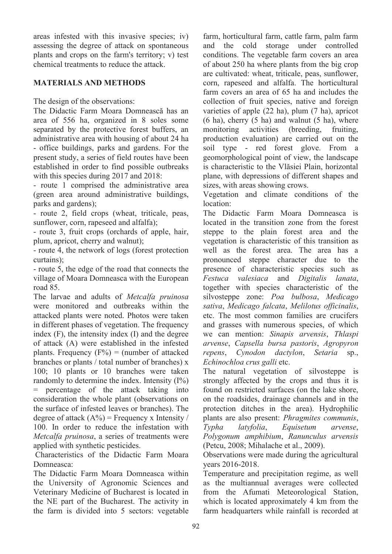areas infested with this invasive species; iv) assessing the degree of attack on spontaneous plants and crops on the farm's territory; v) test chemical treatments to reduce the attack.

# **MATERIALS AND METHODS**

The design of the observations:

The Didactic Farm Moara Domnească has an area of 556 ha, organized in 8 soles some separated by the protective forest buffers, an administrative area with housing of about 24 ha - office buildings, parks and gardens. For the present study, a series of field routes have been established in order to find possible outbreaks with this species during 2017 and 2018:

- route 1 comprised the administrative area (green area around administrative buildings, parks and gardens);

- route 2, field crops (wheat, triticale, peas, sunflower, corn, rapeseed and alfalfa);

- route 3, fruit crops (orchards of apple, hair, plum, apricot, cherry and walnut);

- route 4, the network of logs (forest protection curtains);

- route 5, the edge of the road that connects the village of Moara Domneasca with the European road 85.

The larvae and adults of *Metcalfa pruinosa* were monitored and outbreaks within the attacked plants were noted. Photos were taken in different phases of vegetation. The frequency index (F), the intensity index (I) and the degree of attack (A) were established in the infested plants. Frequency  $(F%) =$  (number of attacked branches or plants / total number of branches) x 100; 10 plants or 10 branches were taken randomly to determine the index. Intensity  $(I\%)$ percentage of the attack taking into consideration the whole plant (observations on the surface of infested leaves or branches). The degree of attack  $(A\%)$  = Frequency x Intensity / 100. In order to reduce the infestation with *Metcalfa pruinosa*, a series of treatments were applied with synthetic pesticides.

Characteristics of the Didactic Farm Moara Domneasca:

The Didactic Farm Moara Domneasca within the University of Agronomic Sciences and Veterinary Medicine of Bucharest is located in the NE part of the Bucharest. The activity in the farm is divided into 5 sectors: vegetable

farm, horticultural farm, cattle farm, palm farm and the cold storage under controlled conditions. The vegetable farm covers an area of about 250 ha where plants from the big crop are cultivated: wheat, triticale, peas, sunflower, corn, rapeseed and alfalfa. The horticultural farm covers an area of 65 ha and includes the collection of fruit species, native and foreign varieties of apple (22 ha), plum (7 ha), apricot  $(6 \text{ ha})$ , cherry  $(5 \text{ ha})$  and walnut  $(5 \text{ ha})$ , where monitoring activities (breeding, fruiting, production evaluation) are carried out on the soil type - red forest glove. From a geomorphological point of view, the landscape is characteristic to the Vlăsiei Plain, horizontal plane, with depressions of different shapes and sizes, with areas showing crows.

Vegetation and climate conditions of the location:

The Didactic Farm Moara Domneasca is located in the transition zone from the forest steppe to the plain forest area and the vegetation is characteristic of this transition as well as the forest area. The area has a pronounced steppe character due to the presence of characteristic species such as *Festuca valesiaca* and *Digitalis lanata*, together with species characteristic of the silvosteppe zone: *Poa bulbosa*, *Medicago sativa*, *Medicago falcata*, *Melilotus officinalis*, etc. The most common families are crucifers and grasses with numerous species, of which we can mention: *Sinapis arvensis*, *Thlaspi arvense*, *Capsella bursa pastoris*, *Agropyron repens*, *Cynodon dactylon*, *Setaria* sp., *Echinochloa crus galli* etc.

The natural vegetation of silvosteppe is strongly affected by the crops and thus it is found on restricted surfaces (on the lake shore, on the roadsides, drainage channels and in the protection ditches in the area). Hydrophilic plants are also present: *Phragmites communis*, *Typha latyfolia*, *Equisetum arvense*, *Polygonum amphibium*, *Ranunculus arvensis* (Petcu, 2008; Mihalache et al., 2009).

Observations were made during the agricultural years 2016-2018.

Temperature and precipitation regime, as well as the multiannual averages were collected from the Afumati Meteorological Station, which is located approximately 4 km from the farm headquarters while rainfall is recorded at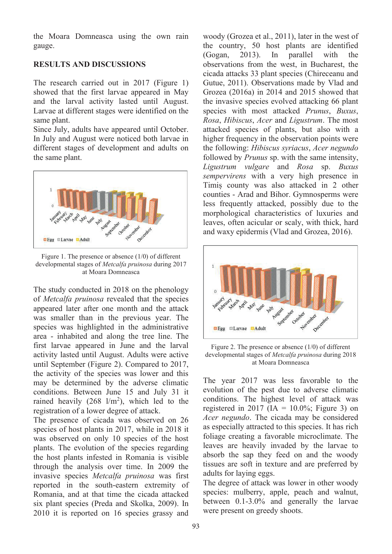the Moara Domneasca using the own rain gauge.

# **RESULTS AND DISCUSSIONS**

The research carried out in 2017 (Figure 1) showed that the first larvae appeared in May and the larval activity lasted until August. Larvae at different stages were identified on the same plant.

Since July, adults have appeared until October. In July and August were noticed both larvae in different stages of development and adults on the same plant.



Figure 1. The presence or absence (1/0) of different developmental stages of *Metcalfa pruinosa* during 2017 at Moara Domneasca

The study conducted in 2018 on the phenology of *Metcalfa pruinosa* revealed that the species appeared later after one month and the attack was smaller than in the previous year. The species was highlighted in the administrative area - inhabited and along the tree line. The first larvae appeared in June and the larval activity lasted until August. Adults were active until September (Figure 2). Compared to 2017, the activity of the species was lower and this may be determined by the adverse climatic conditions. Between June 15 and July 31 it rained heavily  $(268 \text{ l/m}^2)$ , which led to the registration of a lower degree of attack.

The presence of cicada was observed on 26 species of host plants in 2017, while in 2018 it was observed on only 10 species of the host plants. The evolution of the species regarding the host plants infested in Romania is visible through the analysis over time. In 2009 the invasive species *Metcalfa pruinosa* was first reported in the south-eastern extremity of Romania, and at that time the cicada attacked six plant species (Preda and Skolka, 2009). In 2010 it is reported on 16 species grassy and

woody (Grozea et al., 2011), later in the west of the country, 50 host plants are identified<br>(Gogan, 2013). In parallel with the (Gogan, 2013). In parallel with the observations from the west, in Bucharest, the cicada attacks 33 plant species (Chireceanu and Gutue, 2011). Observations made by Vlad and Grozea (2016a) in 2014 and 2015 showed that the invasive species evolved attacking 66 plant species with most attacked *Prunus*, *Buxus*, *Rosa*, *Hibiscus*, *Acer* and *Ligustrum*. The most attacked species of plants, but also with a higher frequency in the observation points were the following: *Hibiscus syriacus*, *Acer negundo* followed by *Prunus* sp. with the same intensity, *Ligustrum vulgare* and *Rosa* sp. *Buxus sempervirens* with a very high presence in Timiș county was also attacked in 2 other counties - Arad and Bihor. Gymnosperms were less frequently attacked, possibly due to the morphological characteristics of luxuries and leaves, often acicular or scaly, with thick, hard and waxy epidermis (Vlad and Grozea, 2016).



Figure 2. The presence or absence (1/0) of different developmental stages of *Metcalfa pruinosa* during 2018 at Moara Domneasca

The year 2017 was less favorable to the evolution of the pest due to adverse climatic conditions. The highest level of attack was registered in 2017 (IA =  $10.0\%$ ; Figure 3) on *Acer negundo*. The cicada may be considered as especially attracted to this species. It has rich foliage creating a favorable microclimate. The leaves are heavily invaded by the larvae to absorb the sap they feed on and the woody tissues are soft in texture and are preferred by adults for laying eggs.

The degree of attack was lower in other woody species: mulberry, apple, peach and walnut, between 0.1-3.0% and generally the larvae were present on greedy shoots.